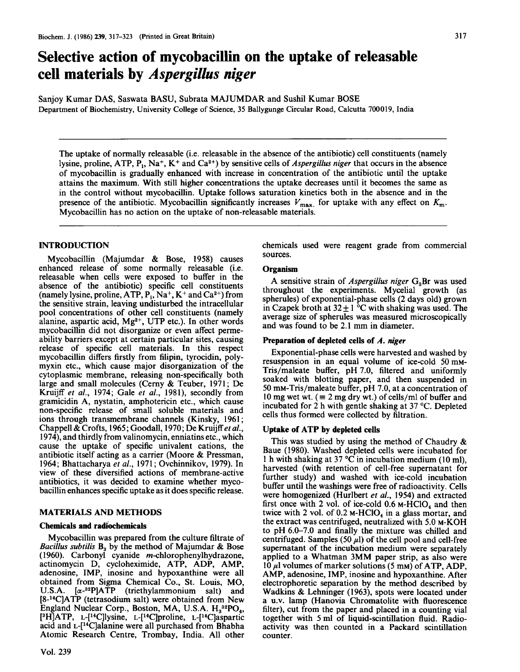# Selective action of mycobacillin on the uptake of releasable cell materials by Aspergillus niger

Sanjoy Kumar DAS, Saswata BASU, Subrata MAJUMDAR and Sushil Kumar BOSE Department of Biochemistry, University College of Science, 35 Ballygunge Circular Road, Calcutta 700019, India

The uptake of normally releasable (i.e. releasable in the absence of the antibiotic) cell constituents (namely lysine, proline, ATP,  $P_i$ , Na<sup>+</sup>, K<sup>+</sup> and Ca<sup>2+</sup>) by sensitive cells of *Aspergillus niger* that occurs in the absence of mycobacillin is gradually enhanced with increase in concentration of the antibiotic until the uptake attains the maximum. With still higher concentrations the uptake decreases until it becomes the same as in the control without mycobacillin. Uptake follows saturation kinetics both in the absence and in the presence of the antibiotic. Mycobacillin significantly increases  $V_{\text{max}}$  for uptake with any effect on  $K_{\text{m}}$ . Mycobacillin has no action on the uptake of non-releasable materials.

# INTRODUCTION

Mycobacillin (Majumdar & Bose, 1958) causes enhanced release of some normally releasable (i.e. releasable when cells were exposed to buffer in the absence of the antibiotic) specific cell constituents (namely lysine, proline,  $ATP, P_i, Na^+, K^+$  and  $Ca^{2+}$ ) from the sensitive strain, leaving undisturbed the intracellular pool concentrations of other cell constituents (namely alanine, aspartic acid,  $Mg^{2+}$ , UTP etc.). In other words mycobacillin did not disorganize or even affect permeability barriers except at certain particular sites, causing release of specific cell materials. In this respect mycobacillin differs firstly from filipin, tyrocidin, polymyxin etc., which cause major disorganization of the cytoplasmic membrane, releasing non-specifically both large and small molecules (Cerny & Teuber, 1971; De Kruijff et al., 1974; Gale et al., 1981), secondly from gramicidin A, nystatin, amphotericin etc., which cause non-specific release of small soluble materials and ions through transmembrane channels (Kinsky, 1961; Chappell & Crofts, 1965; Goodall, 1970; De Kruijff et al., 1974), and thirdly from valinomycin, enniatins etc., which cause the uptake of specific univalent cations, the antibiotic itself acting as <sup>a</sup> carrier (Moore & Pressman, 1964; Bhattacharya et al., 1971; Ovchinnikov, 1979). In view of these diversified actions of membrane-active antibiotics, it was decided to examine whether mycobacillin enhances specific uptake as it does specific release.

# MATERIALS AND METHODS

# Chemicals and radiochemicals

Mycobacillin was prepared from the culture filtrate of *Bacillus subtilis*  $B_3$  by the method of Majumdar & Bose (1960). Carbonyl cyanide m-chlorophenylhydrazone, actinomycin D, cycloheximide, ATP, ADP, AMP, adenosine, IMP, inosine and hypoxanthine were all obtained from Sigma Chemical Co., St. Louis, MO, U.S.A.  $[\alpha^{-32}P]ATP$  (triethylammonium salt) and [8-14C]ATP (tetrasodium salt) were obtained from New England Nuclear Corp., Boston, MA, U.S.A.  $H_3^{32}PO<sub>4</sub>$ , [3H]ATP, L-[14C]lysine, L-[14C]proline, L-[14C]aspartic acid and L-[14C]alanine were all purchased from Bhabha Atomic Research Centre, Trombay, India. All other

chemicals used were reagent grade from commercial sources.

## Organism

A sensitive strain of *Aspergillus niger*  $G_3Br$  was used throughout the experiments. Mycelial growth (as spherules) of exponential-phase cells (2 days old) grown in Czapek broth at  $32 \pm 1$  °C with shaking was used. The average size of spherules was measured microscopically and was found to be 2.1 mm in diameter.

## Preparation of depleted cells of A. niger

Exponential-phase cells were harvested and washed by resuspension in an equal volume of ice-cold 50 mM-Tris/maleate buffer, pH 7.0, filtered and uniformly soaked with blotting paper, and then suspended in <sup>50</sup> mM-Tris/maleate buffer, pH 7.0, at <sup>a</sup> concentration of 10 mg wet wt. ( $\equiv 2$  mg dry wt.) of cells/ml of buffer and incubated for 2 h with gentle shaking at 37 'C. Depleted cells thus formed were collected by filtration.

#### Uptake of ATP by depleted cells

This was studied by using the method of Chaudry & Baue (1980). Washed depleted cells were incubated for 1 h with shaking at 37  $^{\circ}$ C in incubation medium (10 ml), harvested (with retention of cell-free supernatant for further study) and washed with ice-cold incubation buffer until the washings were free of radioactivity. Cells were homogenized (Hurlbert et al., 1954) and extracted first once with 2 vol. of ice-cold  $0.6$  M-HClO<sub>4</sub> and then twice with 2 vol. of 0.2 M-HClO<sub>4</sub> in a glass mortar, and the extract was centrifuged, neutralized with 5.0 M-KOH to pH 6.0-7.0 and finally the mixture was chilled and centrifuged. Samples (50  $\mu$ l) of the cell pool and cell-free supernatant of the incubation medium were separately applied to <sup>a</sup> Whatman 3MM paper strip, as also were 10  $\mu$ l volumes of marker solutions (5 mm) of ATP, ADP, AMP, adenosine, IMP, inosine and hypoxanthine. After electrophoretic separation by the method described by Wadkins & Lehninger (1963), spots were located under a u.v. lamp (Hanovia Chromatolite with fluorescence filter), cut from the paper and placed in a counting vial together with 5 ml of liquid-scintillation fluid. Radioactivity was then counted in a Packard scintillation counter.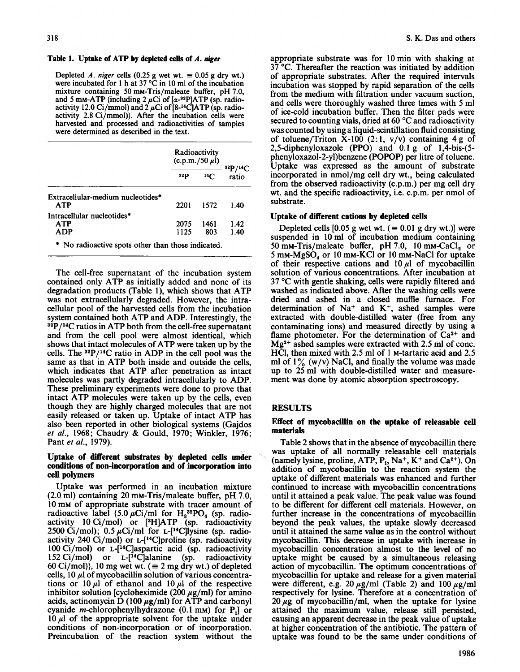#### Table 1. Uptake of ATP by depleted cells of A. niger

Depleted A. niger cells (0.25 g wet wt.  $\equiv$  0.05 g dry wt.) were incubated for 1 h at 37  $\degree$ C in 10 ml of the incubation mixture containing <sup>50</sup> mM-Tris/maleate buffer, pH 7.0, and 5 mm-ATP {including 2  $\mu$ Ci of [ $\alpha$ -<sup>32</sup>P]ATP (sp. radioactivity 12.0 Ci/mmol) and  $2 \mu$ Ci of [8-<sup>14</sup>C]ATP (sp. radioactivity 2.8 Ci/mmol)}. After the incubation cells were harvested and processed and radioactivities of samples were determined as described in the text.

|                                                 | Radioactivity<br>$(c.p.m./50 \mu l)$ |                 |                  |
|-------------------------------------------------|--------------------------------------|-----------------|------------------|
|                                                 | 32P                                  | 14 <sub>C</sub> | 32P/14C<br>ratio |
| Extracellular-medium nucleotides*<br><b>ATP</b> | 2201                                 | 1572            | 1.40             |
| Intracellular nucleotides <sup>*</sup>          |                                      |                 |                  |
| <b>ATP</b>                                      | 2075                                 | 1461            | 1.42             |
| ADP                                             | 1125                                 | 803             | 1.40             |

The cell-free supernatant of the incubation system contained only ATP as initially added and none of its degradation products (Table 1), which shows that ATP was not extracellularly degraded. However, the intracellular pool of the harvested cells from the incubation system contained both ATP and ADP. Interestingly, the  $3^{2}P/14C$  ratios in ATP both from the cell-free supernatant and from the cell pool were almost identical, which shows that intact molecules of ATP were taken up by the cells. The 32P/14C ratio in ADP in the cell pool was the same as that in ATP both inside and outside the cells, which indicates that ATP after penetration as intact molecules was partly degraded intracellularly to ADP. These preliminary experiments were done to prove that intact ATP molecules were taken up by the cells, even though they are highly charged molecules that are not easily released or taken up. Uptake of intact ATP has also been reported in other biological systems (Gajdos et al., 1968; Chaudry & Gould, 1970; Winkler, 1976; Pant et al., 1979).

## Uptake of different substrates by depleted cells under conditions of non-incorporation and of incorporation into cell polymers

Uptake was performed in an incubation mixture (2.0 ml) containing 20 mM-Tris/maleate buffer, pH 7.0, <sup>10</sup> mm of appropriate substrate with tracer amount of radioactive label  $\{5.0 \ \mu\text{Ci/ml} \text{ for H}_3^{32} \text{PO}_4 \text{ (sp. radio-} \}$ activity 10 Ci/mol) or [3H]ATP (sp. radioactivity 2500 Ci/mol); 0.5  $\mu$ Ci/ml for L-[<sup>14</sup>C]lysine (sp. radioactivity 240 Ci/mol) or  $L$ -<sup>[14</sup>C]proline (sp. radioactivity 100 Ci/mol) or L-[14C]aspartic acid (sp. radioactivity 152 Ci/mol) or  $L-[14C]$ alanine (sp. radioactivity 60 Ci/mol), 10 mg wet wt.  $( \equiv 2 \text{ mg dry wt.})$  of depleted cells,  $10 \mu l$  of mycobacillin solution of various concentrations or 10  $\mu$ I of ethanol and 10  $\mu$ I of the respective inhibitor solution [cycloheximide (200  $\mu$ g/ml) for amino acids, actinomycin D (100  $\mu$ g/ml) for ATP and carbonyl cyanide *m*-chlorophenylhydrazone  $(0.1 \text{ mm})$  for P<sub>i</sub>] or  $10 \mu l$  of the appropriate solvent for the uptake under conditions of non-incorporation or of incorporation. Preincubation of the reaction system without the appropriate substrate was for 10 min with shaking at 37 'C. Thereafter the reaction was initiated by addition of appropriate substrates. After the required intervals incubation was stopped by rapid separation of the cells from the medium with filtration under vacuum suction, and cells were thoroughly washed three times with 5 ml of ice-cold incubation buffer. Then the filter pads were secured to counting vials, dried at 60 $\degree$ C and radioactivity was counted by using a liquid-scintillation fluid consisting of toluene/Triton  $\bar{X}$ -100 (2:1, v/v) containing 4 g of 2,5-diphenyloxazole (PPO) and 0.1 g of 1,4-bis-(5 phenyloxazol-2-yl)benzene (POPOP) per litre of toluene. Uptake was expressed as the amount of substrate incorporated in nmol/mg cell dry wt., being calculated from the observed radioactivity (c.p.m.) per mg cell dry wt. and the specific radioactivity, i.e. c.p.m. per nmol of substrate.

#### Uptake of different cations by depleted cells

Depleted cells [0.05 g wet wt.  $(= 0.01$  g dry wt.)] were suspended in 10 ml of incubation medium containing 50 mm-Tris/maleate buffer, pH 7.0, 10 mm-CaCl<sub>2</sub> or 5 mm- $MgSO_4$  or 10 mm-KCl or 10 mm-NaCl for uptake of their respective cations and  $10 \mu l$  of mycobacillin solution of various concentrations. After incubation at 37 'C with gentle shaking, cells were rapidly filtered and washed as indicated above. After the washing cells were dried and ashed in a closed muffle furnace. For determination of Na+ and K+, ashed samples were extracted with double-distilled water (free from any contaminating ions) and measured directly by using a flame photometer. For the determination of  $Ca^{2+}$  and  $Mg^{2+}$  ashed samples were extracted with 2.5 ml of conc. HCI, then mixed with 2.5 ml of <sup>1</sup> M-tartaric acid and 2.5 ml of  $1\%$  (w/v) NaCl, and finally the volume was made up to 25 ml with double-distilled water and measurement was done by atomic absorption spectroscopy.

### RESULTS

#### Effect of mycobacillin on the uptake of releasable cell materials

Table 2 shows that in the absence of mycobacillin there was uptake of all normally releasable cell materials (namely lysine, proline, ATP,  $P_i$ , Na<sup>+</sup>, K<sup>+</sup> and Ca<sup>2+</sup>). On addition of mycobacillin to the reaction system the uptake of different materials was enhanced and further continued to increase with mycobacillin concentrations until it attained a peak value. The peak value was found to be different for different cell materials. However, on further increase in the concentrations of mycobacillin beyond the peak values, the uptake slowly decreased until it attained the same value as in the control without mycobacillin. This decrease in uptake with increase in mycobacillin concentration almost to the level of no uptake might be caused by a simultaneous releasing action of mycobacillin. The optimum concentrations of mycobacillin for uptake and release for a given material were different, e.g. 20  $\mu$ g/ml (Table 2) and 100  $\mu$ g/ml respectively for lysine. Therefore at a concentration of 20  $\mu$ g of mycobacillin/ml, when the uptake for lysine attained the maximum value, release still persisted, causing an apparent decrease in the peak value of uptake at higher concentration of the antibiotic. The pattern of uptake was found to be the same under conditions of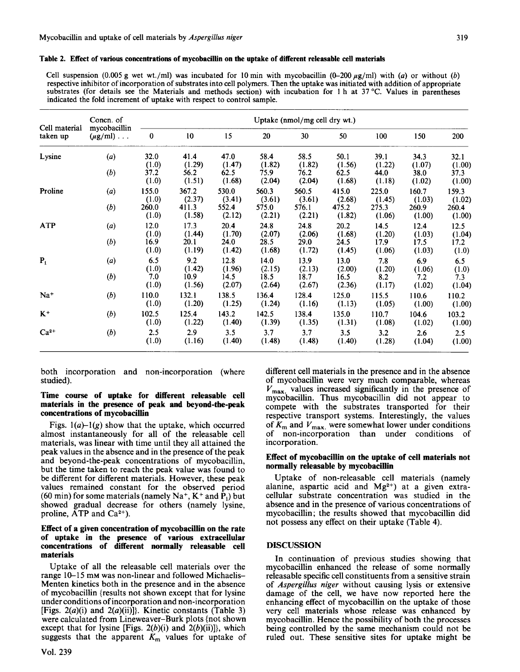#### Table 2. Effect of various concentrations of mycobacillin on the uptake of different releasable cell materials

Cell suspension (0.005 g wet wt./ml) was incubated for 10 min with mycobacillin (0-200  $\mu$ g/ml) with (a) or without (b) respective inhibitor of incorporation of substrates into cell polymers. Then the uptake was initiated with addition of appropriate substrates (for details see the Materials and methods section) with incubation for 1 h at 37 °C. Values in parentheses indicated the fold increment of uptake with respect to control sample.

| Cell material<br>taken up | Concn. of<br>mycobacillin<br>$(\mu\text{g/ml}) \ldots$ | Uptake (nmol/mg cell dry wt.) |                 |                 |                 |                       |                 |                 |                 |                 |
|---------------------------|--------------------------------------------------------|-------------------------------|-----------------|-----------------|-----------------|-----------------------|-----------------|-----------------|-----------------|-----------------|
|                           |                                                        | 0                             | 10              | 15              | 20              | 30                    | 50              | 100             | 150             | 200             |
| Lysine                    | (a)                                                    | 32.0<br>(1.0)                 | 41.4<br>(1.29)  | 47.0<br>(1.47)  | 58.4<br>(1.82)  | 58.5<br>(1.82)        | 50.1<br>(1.56)  | 39.1<br>(1.22)  | 34.3<br>(1.07)  | 32.1<br>(1.00)  |
|                           | (b)                                                    | 37.2<br>(1.0)                 | 56.2<br>(1.51)  | 62.5<br>(1.68)  | 75.9<br>(2.04)  | 76.2<br>(2.04)        | 62.5<br>(1.68)  | 44.0<br>(1.18)  | 38.0<br>(1.02)  | 37.3<br>(1.00)  |
| Proline                   | (a)                                                    | 155.0<br>(1.0)                | 367.2<br>(2.37) | 530.0<br>(3.41) | 560.3<br>(3.61) | 560.5<br>(3.61)       | 415.0<br>(2.68) | 225.0<br>(1.45) | 160.7<br>(1.03) | 159.3<br>(1.02) |
|                           | (b)                                                    | 260.0<br>(1.0)                | 411.3<br>(1.58) | 552.4<br>(2.12) | 575.0<br>(2.21) | 576.1<br>(2.21)       | 475.2<br>(1.82) | 275.3<br>(1.06) | 260.9<br>(1.00) | 260.4<br>(1.00) |
| <b>ATP</b>                | (a)                                                    | 12.0<br>(1.0)                 | 17.3<br>(1.44)  | 20.4<br>(1.70)  | 24.8<br>(2.07)  | 24.8<br>(2.06)        | 20.2<br>(1.68)  | 14.5<br>(1.20)  | 12.4<br>(1.03)  | 12.5<br>(1.04)  |
|                           | (b)                                                    | 16.9<br>(1.0)                 | 20.1<br>(1.19)  | 24.0<br>(1.42)  | 28.5<br>(1.68)  | <b>29.0</b><br>(1.72) | 24.5<br>(1.45)  | 17.9<br>(1.06)  | 17.5<br>(1.03)  | 17.2<br>(1.0)   |
| $P_i$                     | (a)                                                    | 6.5<br>(1.0)                  | 9.2<br>(1.42)   | 12.8<br>(1.96)  | 14.0<br>(2.15)  | 13.9<br>(2.13)        | 13.0<br>(2.00)  | 7.8<br>(1.20)   | 6.9<br>(1.06)   | 6.5<br>(0.1)    |
|                           | (b)                                                    | 7.0<br>(1.0)                  | 10.9<br>(1.56)  | 14.5<br>(2.07)  | 18.5<br>(2.64)  | 18.7<br>(2.67)        | 16.5<br>(2.36)  | 8.2<br>(1.17)   | 7.2<br>(1.02)   | 7.3<br>(1.04)   |
| $Na+$                     | (b)                                                    | 110.0<br>(1.0)                | 132.1<br>(1.20) | 138.5<br>(1.25) | 136.4<br>(1.24) | 128.4<br>(1.16)       | 125.0<br>(1.13) | 115.5<br>(1.05) | 110.6<br>(1.00) | 110.2<br>(1.00) |
| $K^+$                     | (b)                                                    | 102.5<br>(1.0)                | 125.4<br>(1.22) | 143.2<br>(1.40) | 142.5<br>(1.39) | 138.4<br>(1.35)       | 135.0<br>(1.31) | 110.7<br>(1.08) | 104.6<br>(1.02) | 103.2<br>(1.00) |
| $Ca^{2+}$                 | (b)                                                    | 2.5<br>(1.0)                  | 2.9<br>(1.16)   | 3.5<br>(1.40)   | 3.7<br>(1.48)   | 3.7<br>(1.48)         | 3.5<br>(1.40)   | 3.2<br>(1.28)   | 2.6<br>(1.04)   | 2.5<br>(1.00)   |

both incorporation and non-incorporation (where studied).

# Time course of uptake for different releasable cell materials in the presence of peak and beyond-the-peak concentrations of mycobacillin

Figs.  $1(a)-1(g)$  show that the uptake, which occurred almost instantaneously for all of the releasable cell materials, was linear with time until they all attained the peak values in the absence and in the presence of the peak and beyond-the-peak concentrations of mycobacillin, but the time taken to reach the peak value was found to be different for different materials. However, these peak values remained constant for the observed period (60 min) for some materials (namely Na<sup>+</sup>, K<sup>+</sup> and  $\overline{P}_i$ ) but showed gradual decrease for others (namely lysine, proline,  $\overline{A}TP$  and  $Ca^{2+}$ ).

## Effect of a given concentration of mycobacillin on the rate of uptake in the presence of various extraceliular concentrations of different normally releasable cell materials

Uptake of all the releasable cell materials over the range 10-15 mm was non-linear and followed Michaelis-Menten kinetics both in the presence and in the absence of mycobacillin {results not shown except that for lysine under conditions ofincorporation and non-incorporation [Figs.  $2(a)(i)$  and  $2(a)(ii)$ ]}. Kinetic constants (Table 3) were calculated from Lineweaver-Burk plots {not shown except that for lysine [Figs.  $2(b)(i)$  and  $2(b)(ii)$ ]}, which suggests that the apparent  $K<sub>m</sub>$  values for uptake of different cell materials in the presence and in the absence of mycobacillin were very much comparable, whereas  $V_{\text{max}}$  values increased significantly in the presence of mycobacillin. Thus mycobacillin did not appear to compete with the substrates transported for their respective transport systems. Interestingly, the values of  $K<sub>m</sub>$  and  $V<sub>max</sub>$ , were somewhat lower under conditions of non-incorporation than under conditions of incorporation.

# Effect of mycobacillin on the uptake of cell materials not normally releasable by mycobacillin

Uptake of non-releasable cell materials (namely alanine, aspartic acid and  $Mg^{2+}$ ) at a given extracellular substrate concentration was studied in the absence and in the presence of various concentrations of mycobacillin; the results showed that mycobacillin did not possess any effect on their uptake (Table 4).

# DISCUSSION

In continuation of previous studies showing that mycobacillin enhanced the release of some normally releasable specific cell constituents from a sensitive strain of Aspergillus niger without causing lysis or extensive damage of the cell, we have now reported here the enhancing effect of mycobacillin on the uptake of those very cell materials whose release was enhanced by mycobacillin. Hence the possibility of both the processes being controlled by the same mechanism could not be ruled out. These sensitive sites for uptake might be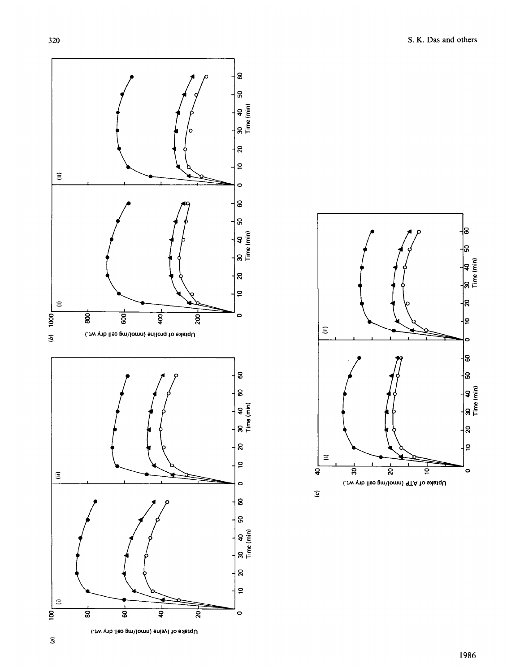



 $\widehat{\Xi}$ 

 $\epsilon$ 

 $\overline{\mathbf{g}}$ 

 $\overline{\mathbf{e}}$ 

Uptake of ATP (nmol/mg cell dry wt.)

ੁੱ

 $\overline{a}$ 

 $\widehat{\mathfrak{S}}$ 

∤ຊ

lē

 $\overline{\bullet}$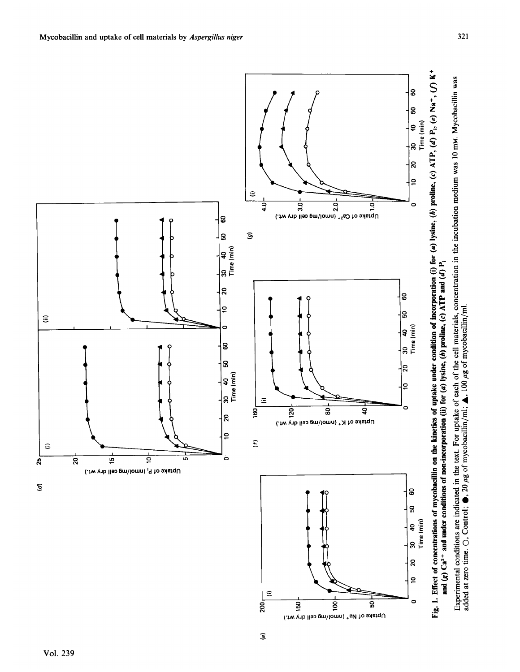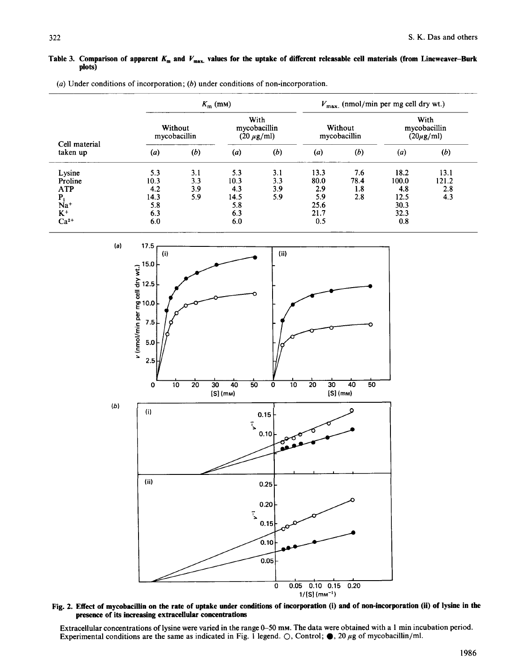#### Table 3. Comparison of apparent  $K_m$  and  $V_{max}$  values for the uptake of different releasable cell materials (from Lineweaver-Burk plots)

| Cell material<br>taken up | $K_{\rm m}$ (mm)        |     |                                                 |     | $V_{\text{max}}$ (nmol/min per mg cell dry wt.) |      |                                              |       |  |
|---------------------------|-------------------------|-----|-------------------------------------------------|-----|-------------------------------------------------|------|----------------------------------------------|-------|--|
|                           | Without<br>mycobacillin |     | With<br>mycobacillin<br>$(20 \ \mu\text{g/ml})$ |     | Without<br>mycobacillin                         |      | With<br>mycobacillin<br>$(20\mu\text{g/ml})$ |       |  |
|                           | (a)                     | (b) | (a)                                             | (b) | (a)                                             | (b)  | (a)                                          | (b)   |  |
| Lysine                    | 5.3                     | 3.1 | 5.3                                             | 3.1 | 13.3                                            | 7.6  | 18.2                                         | 13.1  |  |
| Proline                   | 10.3                    | 3.3 | 10.3                                            | 3.3 | 80.0                                            | 78.4 | 100.0                                        | 121.2 |  |
| <b>ATP</b>                | 4.2                     | 3.9 | 4.3                                             | 3.9 | 2.9                                             | 1.8  | 4.8                                          | 2.8   |  |
| $P_i$                     | 14.3                    | 5.9 | 14.5                                            | 5.9 | 5.9                                             | 2.8  | 12.5                                         | 4.3   |  |
| $Na+$                     | 5.8                     |     | 5.8                                             |     | 25.6                                            |      | 30.3                                         |       |  |
| $K^+$                     | 6.3                     |     | 6.3                                             |     | 21.7                                            |      | 32.3                                         |       |  |
| $Ca2+$                    | 6.0                     |     | 6.0                                             |     | 0.5                                             |      | 0.8                                          |       |  |

(a) Under conditions of incorporation; (b) under conditions of non-incorporation.



# Fig. 2. Effect of mycobacillin on the rate of uptake under conditions of incorporation (i) and of non-incorporation (ii) of lysine in the presence of its increasing extracellular concentrations

Extracellular concentrations of lysine were varied in the range 0-50 mm. The data were obtained with a <sup>1</sup> min incubation period. Experimental conditions are the same as indicated in Fig. 1 legend.  $\bigcirc$ , Control;  $\bigcirc$ , 20  $\mu$ g of mycobacillin/ml.